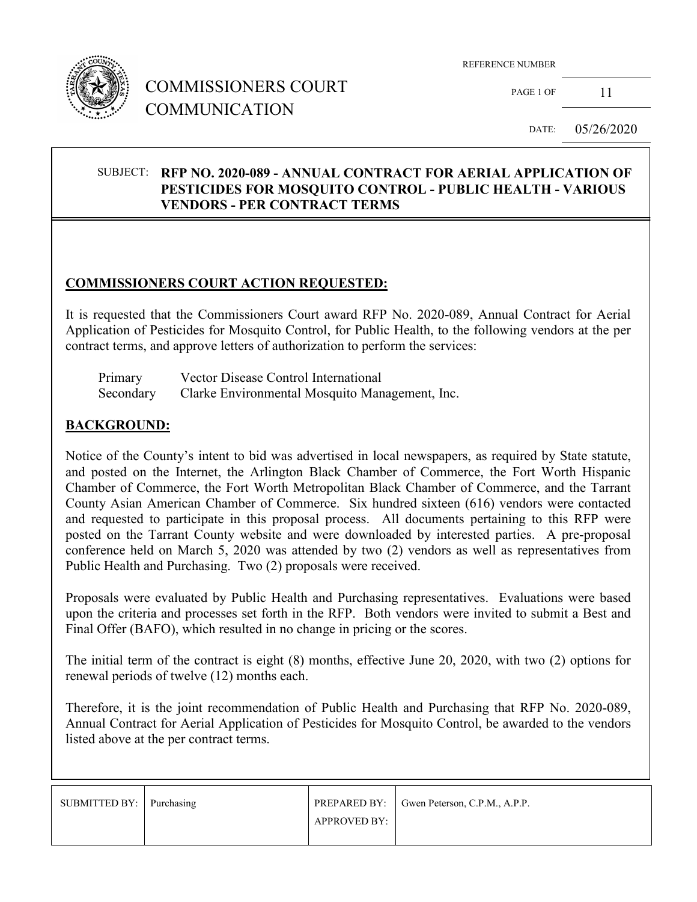

## COMMISSIONERS COURT COMMUNICATION

REFERENCE NUMBER

PAGE 1 OF 11

DATE: 05/26/2020

#### SUBJECT: **RFP NO. 2020-089 - ANNUAL CONTRACT FOR AERIAL APPLICATION OF PESTICIDES FOR MOSQUITO CONTROL - PUBLIC HEALTH - VARIOUS VENDORS - PER CONTRACT TERMS**

### **COMMISSIONERS COURT ACTION REQUESTED:**

It is requested that the Commissioners Court award RFP No. 2020-089, Annual Contract for Aerial Application of Pesticides for Mosquito Control, for Public Health, to the following vendors at the per contract terms, and approve letters of authorization to perform the services:

| Primary   | Vector Disease Control International           |
|-----------|------------------------------------------------|
| Secondary | Clarke Environmental Mosquito Management, Inc. |

#### **BACKGROUND:**

Notice of the County's intent to bid was advertised in local newspapers, as required by State statute, and posted on the Internet, the Arlington Black Chamber of Commerce, the Fort Worth Hispanic Chamber of Commerce, the Fort Worth Metropolitan Black Chamber of Commerce, and the Tarrant County Asian American Chamber of Commerce. Six hundred sixteen (616) vendors were contacted and requested to participate in this proposal process. All documents pertaining to this RFP were posted on the Tarrant County website and were downloaded by interested parties. A pre-proposal conference held on March 5, 2020 was attended by two (2) vendors as well as representatives from Public Health and Purchasing. Two (2) proposals were received.

Proposals were evaluated by Public Health and Purchasing representatives. Evaluations were based upon the criteria and processes set forth in the RFP. Both vendors were invited to submit a Best and Final Offer (BAFO), which resulted in no change in pricing or the scores.

The initial term of the contract is eight (8) months, effective June 20, 2020, with two (2) options for renewal periods of twelve (12) months each.

Therefore, it is the joint recommendation of Public Health and Purchasing that RFP No. 2020-089, Annual Contract for Aerial Application of Pesticides for Mosquito Control, be awarded to the vendors listed above at the per contract terms.

| SUBMITTED BY: Purchasing |              | <b>PREPARED BY:</b> Gwen Peterson, C.P.M., A.P.P. |
|--------------------------|--------------|---------------------------------------------------|
|                          | APPROVED BY: |                                                   |